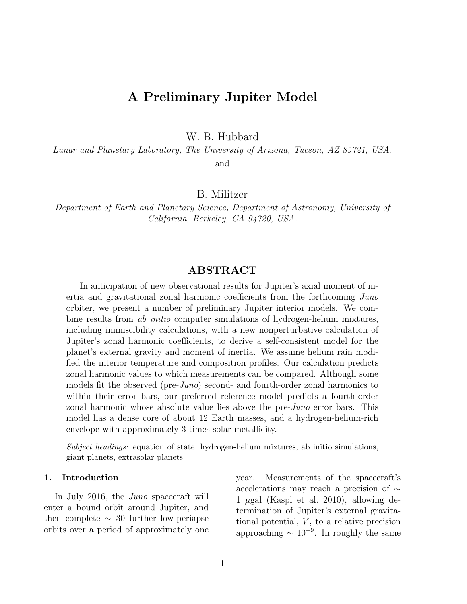# A Preliminary Jupiter Model

W. B. Hubbard

Lunar and Planetary Laboratory, The University of Arizona, Tucson, AZ 85721, USA.

and

B. Militzer

Department of Earth and Planetary Science, Department of Astronomy, University of California, Berkeley, CA 94720, USA.

## ABSTRACT

In anticipation of new observational results for Jupiter's axial moment of inertia and gravitational zonal harmonic coefficients from the forthcoming Juno orbiter, we present a number of preliminary Jupiter interior models. We combine results from ab initio computer simulations of hydrogen-helium mixtures, including immiscibility calculations, with a new nonperturbative calculation of Jupiter's zonal harmonic coefficients, to derive a self-consistent model for the planet's external gravity and moment of inertia. We assume helium rain modified the interior temperature and composition profiles. Our calculation predicts zonal harmonic values to which measurements can be compared. Although some models fit the observed (pre-*Juno*) second- and fourth-order zonal harmonics to within their error bars, our preferred reference model predicts a fourth-order zonal harmonic whose absolute value lies above the pre-Juno error bars. This model has a dense core of about 12 Earth masses, and a hydrogen-helium-rich envelope with approximately 3 times solar metallicity.

Subject headings: equation of state, hydrogen-helium mixtures, ab initio simulations, giant planets, extrasolar planets

#### 1. Introduction

In July 2016, the Juno spacecraft will enter a bound orbit around Jupiter, and then complete  $\sim$  30 further low-periapse orbits over a period of approximately one year. Measurements of the spacecraft's accelerations may reach a precision of ∼ 1  $\mu$ gal (Kaspi et al. 2010), allowing determination of Jupiter's external gravitational potential,  $V$ , to a relative precision approaching  $\sim 10^{-9}$ . In roughly the same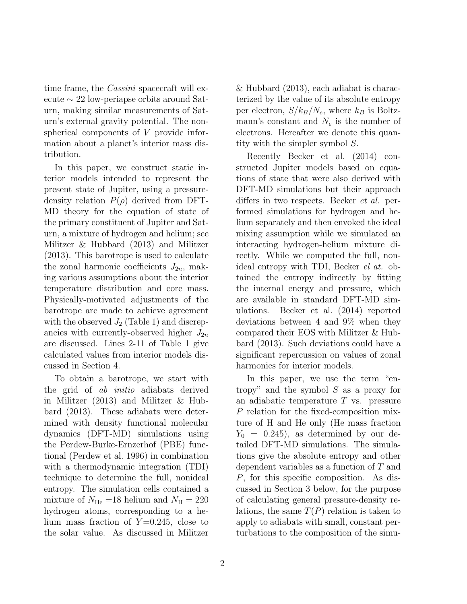time frame, the *Cassini* spacecraft will execute ∼ 22 low-periapse orbits around Saturn, making similar measurements of Saturn's external gravity potential. The nonspherical components of V provide information about a planet's interior mass distribution.

In this paper, we construct static interior models intended to represent the present state of Jupiter, using a pressuredensity relation  $P(\rho)$  derived from DFT-MD theory for the equation of state of the primary constituent of Jupiter and Saturn, a mixture of hydrogen and helium; see Militzer & Hubbard (2013) and Militzer (2013). This barotrope is used to calculate the zonal harmonic coefficients  $J_{2n}$ , making various assumptions about the interior temperature distribution and core mass. Physically-motivated adjustments of the barotrope are made to achieve agreement with the observed  $J_2$  (Table 1) and discrepancies with currently-observed higher  $J_{2n}$ are discussed. Lines 2-11 of Table 1 give calculated values from interior models discussed in Section 4.

To obtain a barotrope, we start with the grid of ab initio adiabats derived in Militzer (2013) and Militzer & Hubbard (2013). These adiabats were determined with density functional molecular dynamics (DFT-MD) simulations using the Perdew-Burke-Ernzerhof (PBE) functional (Perdew et al. 1996) in combination with a thermodynamic integration (TDI) technique to determine the full, nonideal entropy. The simulation cells contained a mixture of  $N_{\text{He}} = 18$  helium and  $N_{\text{H}} = 220$ hydrogen atoms, corresponding to a helium mass fraction of  $Y=0.245$ , close to the solar value. As discussed in Militzer & Hubbard (2013), each adiabat is characterized by the value of its absolute entropy per electron,  $S/k_B/N_e$ , where  $k_B$  is Boltzmann's constant and  $N_e$  is the number of electrons. Hereafter we denote this quantity with the simpler symbol S.

Recently Becker et al. (2014) constructed Jupiter models based on equations of state that were also derived with DFT-MD simulations but their approach differs in two respects. Becker *et al.* performed simulations for hydrogen and helium separately and then envoked the ideal mixing assumption while we simulated an interacting hydrogen-helium mixture directly. While we computed the full, nonideal entropy with TDI, Becker el at. obtained the entropy indirectly by fitting the internal energy and pressure, which are available in standard DFT-MD simulations. Becker et al. (2014) reported deviations between 4 and 9% when they compared their EOS with Militzer & Hubbard (2013). Such deviations could have a significant repercussion on values of zonal harmonics for interior models.

In this paper, we use the term "entropy" and the symbol  $S$  as a proxy for an adiabatic temperature T vs. pressure P relation for the fixed-composition mixture of H and He only (He mass fraction  $Y_0 = 0.245$ , as determined by our detailed DFT-MD simulations. The simulations give the absolute entropy and other dependent variables as a function of T and P, for this specific composition. As discussed in Section 3 below, for the purpose of calculating general pressure-density relations, the same  $T(P)$  relation is taken to apply to adiabats with small, constant perturbations to the composition of the simu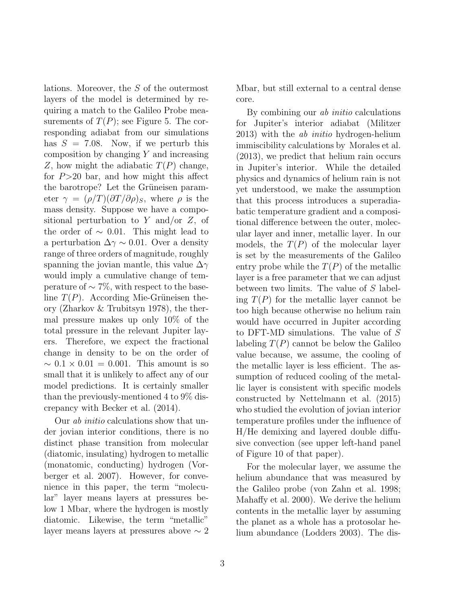lations. Moreover, the S of the outermost layers of the model is determined by requiring a match to the Galileo Probe measurements of  $T(P)$ ; see Figure 5. The corresponding adiabat from our simulations has  $S = 7.08$ . Now, if we perturb this composition by changing  $Y$  and increasing Z, how might the adiabatic  $T(P)$  change, for  $P > 20$  bar, and how might this affect the barotrope? Let the Grüneisen parameter  $\gamma = (\rho/T)(\partial T/\partial \rho)_S$ , where  $\rho$  is the mass density. Suppose we have a compositional perturbation to Y and/or  $Z$ , of the order of  $\sim$  0.01. This might lead to a perturbation  $\Delta \gamma \sim 0.01$ . Over a density range of three orders of magnitude, roughly spanning the jovian mantle, this value  $\Delta\gamma$ would imply a cumulative change of temperature of  $\sim$  7%, with respect to the baseline  $T(P)$ . According Mie-Grüneisen theory (Zharkov & Trubitsyn 1978), the thermal pressure makes up only 10% of the total pressure in the relevant Jupiter layers. Therefore, we expect the fractional change in density to be on the order of  $\sim 0.1 \times 0.01 = 0.001$ . This amount is so small that it is unlikely to affect any of our model predictions. It is certainly smaller than the previously-mentioned 4 to 9% discrepancy with Becker et al. (2014).

Our ab initio calculations show that under jovian interior conditions, there is no distinct phase transition from molecular (diatomic, insulating) hydrogen to metallic (monatomic, conducting) hydrogen (Vorberger et al. 2007). However, for convenience in this paper, the term "molecular" layer means layers at pressures below 1 Mbar, where the hydrogen is mostly diatomic. Likewise, the term "metallic" layer means layers at pressures above ∼ 2 Mbar, but still external to a central dense core.

By combining our ab initio calculations for Jupiter's interior adiabat (Militzer 2013) with the ab initio hydrogen-helium immiscibility calculations by Morales et al. (2013), we predict that helium rain occurs in Jupiter's interior. While the detailed physics and dynamics of helium rain is not yet understood, we make the assumption that this process introduces a superadiabatic temperature gradient and a compositional difference between the outer, molecular layer and inner, metallic layer. In our models, the  $T(P)$  of the molecular layer is set by the measurements of the Galileo entry probe while the  $T(P)$  of the metallic layer is a free parameter that we can adjust between two limits. The value of S labeling  $T(P)$  for the metallic layer cannot be too high because otherwise no helium rain would have occurred in Jupiter according to DFT-MD simulations. The value of S labeling  $T(P)$  cannot be below the Galileo value because, we assume, the cooling of the metallic layer is less efficient. The assumption of reduced cooling of the metallic layer is consistent with specific models constructed by Nettelmann et al. (2015) who studied the evolution of jovian interior temperature profiles under the influence of H/He demixing and layered double diffusive convection (see upper left-hand panel of Figure 10 of that paper).

For the molecular layer, we assume the helium abundance that was measured by the Galileo probe (von Zahn et al. 1998; Mahaffy et al. 2000). We derive the helium contents in the metallic layer by assuming the planet as a whole has a protosolar helium abundance (Lodders 2003). The dis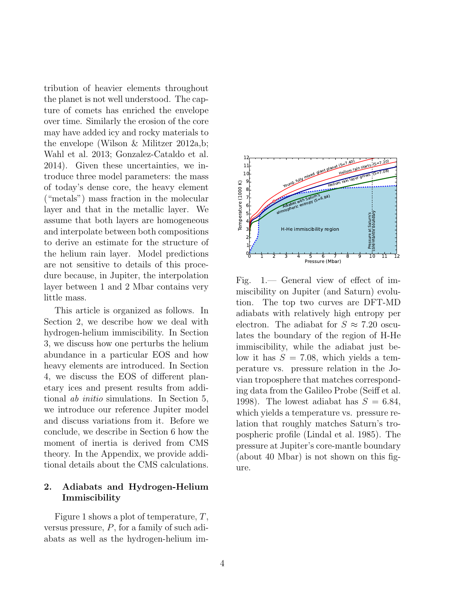tribution of heavier elements throughout the planet is not well understood. The capture of comets has enriched the envelope over time. Similarly the erosion of the core may have added icy and rocky materials to the envelope (Wilson & Militzer 2012a,b; Wahl et al. 2013; Gonzalez-Cataldo et al. 2014). Given these uncertainties, we introduce three model parameters: the mass of today's dense core, the heavy element ("metals") mass fraction in the molecular layer and that in the metallic layer. We assume that both layers are homogeneous and interpolate between both compositions to derive an estimate for the structure of the helium rain layer. Model predictions are not sensitive to details of this procedure because, in Jupiter, the interpolation layer between 1 and 2 Mbar contains very little mass.

This article is organized as follows. In Section 2, we describe how we deal with hydrogen-helium immiscibility. In Section 3, we discuss how one perturbs the helium abundance in a particular EOS and how heavy elements are introduced. In Section 4, we discuss the EOS of different planetary ices and present results from additional ab initio simulations. In Section 5, we introduce our reference Jupiter model and discuss variations from it. Before we conclude, we describe in Section 6 how the moment of inertia is derived from CMS theory. In the Appendix, we provide additional details about the CMS calculations.

## 2. Adiabats and Hydrogen-Helium Immiscibility

Figure 1 shows a plot of temperature, T, versus pressure, P, for a family of such adiabats as well as the hydrogen-helium im-



Fig. 1.— General view of effect of immiscibility on Jupiter (and Saturn) evolution. The top two curves are DFT-MD adiabats with relatively high entropy per electron. The adiabat for  $S \approx 7.20$  osculates the boundary of the region of H-He immiscibility, while the adiabat just below it has  $S = 7.08$ , which yields a temperature vs. pressure relation in the Jovian troposphere that matches corresponding data from the Galileo Probe (Seiff et al. 1998). The lowest adiabat has  $S = 6.84$ , which yields a temperature vs. pressure relation that roughly matches Saturn's tropospheric profile (Lindal et al. 1985). The pressure at Jupiter's core-mantle boundary (about 40 Mbar) is not shown on this figure.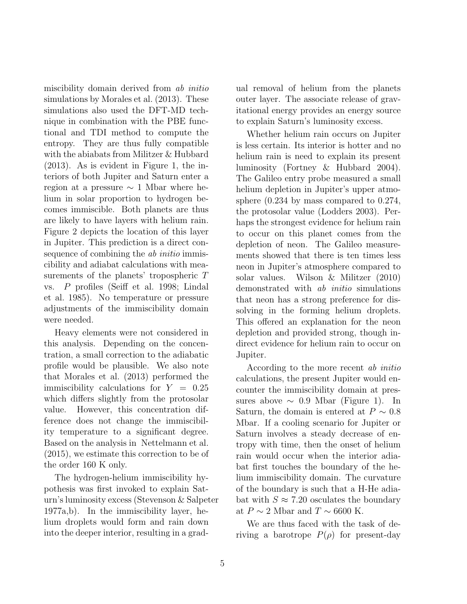miscibility domain derived from ab initio simulations by Morales et al. (2013). These simulations also used the DFT-MD technique in combination with the PBE functional and TDI method to compute the entropy. They are thus fully compatible with the abiabats from Militzer & Hubbard (2013). As is evident in Figure 1, the interiors of both Jupiter and Saturn enter a region at a pressure ∼ 1 Mbar where helium in solar proportion to hydrogen becomes immiscible. Both planets are thus are likely to have layers with helium rain. Figure 2 depicts the location of this layer in Jupiter. This prediction is a direct consequence of combining the *ab initio* immiscibility and adiabat calculations with measurements of the planets' tropospheric T vs. P profiles (Seiff et al. 1998; Lindal et al. 1985). No temperature or pressure adjustments of the immiscibility domain were needed.

Heavy elements were not considered in this analysis. Depending on the concentration, a small correction to the adiabatic profile would be plausible. We also note that Morales et al. (2013) performed the immiscibility calculations for  $Y = 0.25$ which differs slightly from the protosolar value. However, this concentration difference does not change the immiscibility temperature to a significant degree. Based on the analysis in Nettelmann et al. (2015), we estimate this correction to be of the order 160 K only.

The hydrogen-helium immiscibility hypothesis was first invoked to explain Saturn's luminosity excess (Stevenson & Salpeter 1977a,b). In the immiscibility layer, helium droplets would form and rain down into the deeper interior, resulting in a gradual removal of helium from the planets outer layer. The associate release of gravitational energy provides an energy source to explain Saturn's luminosity excess.

Whether helium rain occurs on Jupiter is less certain. Its interior is hotter and no helium rain is need to explain its present luminosity (Fortney & Hubbard 2004). The Galileo entry probe measured a small helium depletion in Jupiter's upper atmosphere (0.234 by mass compared to 0.274, the protosolar value (Lodders 2003). Perhaps the strongest evidence for helium rain to occur on this planet comes from the depletion of neon. The Galileo measurements showed that there is ten times less neon in Jupiter's atmosphere compared to solar values. Wilson & Militzer (2010) demonstrated with *ab initio* simulations that neon has a strong preference for dissolving in the forming helium droplets. This offered an explanation for the neon depletion and provided strong, though indirect evidence for helium rain to occur on Jupiter.

According to the more recent ab initio calculations, the present Jupiter would encounter the immiscibility domain at pressures above ∼ 0.9 Mbar (Figure 1). In Saturn, the domain is entered at  $P \sim 0.8$ Mbar. If a cooling scenario for Jupiter or Saturn involves a steady decrease of entropy with time, then the onset of helium rain would occur when the interior adiabat first touches the boundary of the helium immiscibility domain. The curvature of the boundary is such that a H-He adiabat with  $S \approx 7.20$  osculates the boundary at  $P \sim 2$  Mbar and  $T \sim 6600$  K.

We are thus faced with the task of deriving a barotrope  $P(\rho)$  for present-day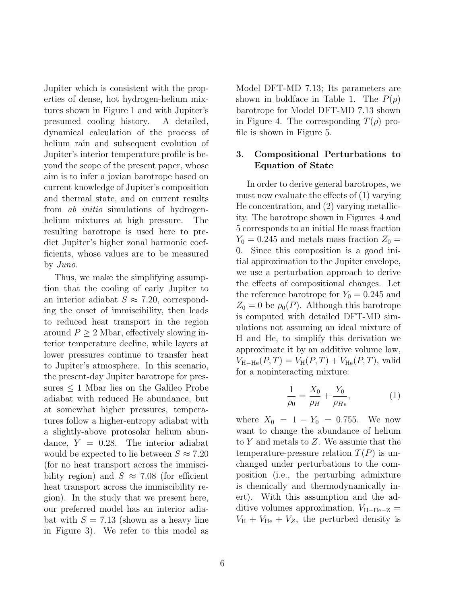Jupiter which is consistent with the properties of dense, hot hydrogen-helium mixtures shown in Figure 1 and with Jupiter's presumed cooling history. A detailed, dynamical calculation of the process of helium rain and subsequent evolution of Jupiter's interior temperature profile is beyond the scope of the present paper, whose aim is to infer a jovian barotrope based on current knowledge of Jupiter's composition and thermal state, and on current results from ab initio simulations of hydrogenhelium mixtures at high pressure. The resulting barotrope is used here to predict Jupiter's higher zonal harmonic coefficients, whose values are to be measured by Juno.

Thus, we make the simplifying assumption that the cooling of early Jupiter to an interior adiabat  $S \approx 7.20$ , corresponding the onset of immiscibility, then leads to reduced heat transport in the region around  $P \geq 2$  Mbar, effectively slowing interior temperature decline, while layers at lower pressures continue to transfer heat to Jupiter's atmosphere. In this scenario, the present-day Jupiter barotrope for pressures  $\leq 1$  Mbar lies on the Galileo Probe adiabat with reduced He abundance, but at somewhat higher pressures, temperatures follow a higher-entropy adiabat with a slightly-above protosolar helium abundance,  $Y = 0.28$ . The interior adiabat would be expected to lie between  $S \approx 7.20$ (for no heat transport across the immiscibility region) and  $S \approx 7.08$  (for efficient heat transport across the immiscibility region). In the study that we present here, our preferred model has an interior adiabat with  $S = 7.13$  (shown as a heavy line in Figure 3). We refer to this model as

for a noninteracting mixture: 1

 $\rho_0$  $=\frac{X_0}{X_0}$  $\rho_H$  $+\frac{Y_0}{\ }$  $\rho_{He}$  $(1)$ 

where  $X_0 = 1 - Y_0 = 0.755$ . We now want to change the abundance of helium to Y and metals to Z. We assume that the temperature-pressure relation  $T(P)$  is unchanged under perturbations to the composition (i.e., the perturbing admixture is chemically and thermodynamically inert). With this assumption and the additive volumes approximation,  $V_{\text{H}-\text{He}-Z}$  =  $V_{\rm H} + V_{\rm He} + V_Z$ , the perturbed density is

Model DFT-MD 7.13; Its parameters are shown in boldface in Table 1. The  $P(\rho)$ barotrope for Model DFT-MD 7.13 shown in Figure 4. The corresponding  $T(\rho)$  profile is shown in Figure 5.

### 3. Compositional Perturbations to Equation of State

In order to derive general barotropes, we must now evaluate the effects of (1) varying He concentration, and (2) varying metallicity. The barotrope shown in Figures 4 and 5 corresponds to an initial He mass fraction  $Y_0 = 0.245$  and metals mass fraction  $Z_0 =$ 0. Since this composition is a good initial approximation to the Jupiter envelope, we use a perturbation approach to derive the effects of compositional changes. Let the reference barotrope for  $Y_0 = 0.245$  and  $Z_0 = 0$  be  $\rho_0(P)$ . Although this barotrope is computed with detailed DFT-MD simulations not assuming an ideal mixture of H and He, to simplify this derivation we approximate it by an additive volume law,  $V_{\text{H}-\text{He}}(P,T) = V_{\text{H}}(P,T) + V_{\text{He}}(P,T)$ , valid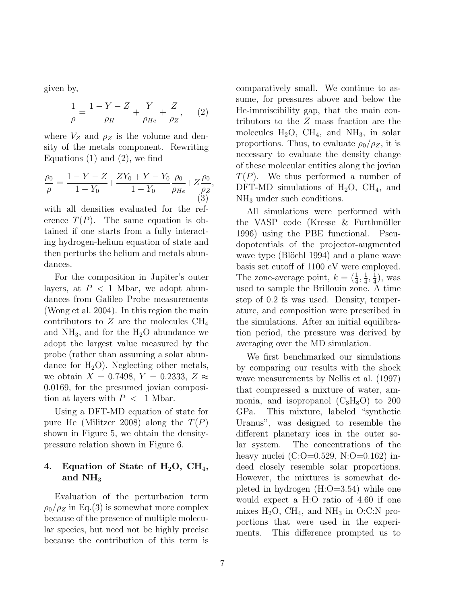given by,

$$
\frac{1}{\rho} = \frac{1 - Y - Z}{\rho_H} + \frac{Y}{\rho_{He}} + \frac{Z}{\rho_Z}, \qquad (2)
$$

where  $V_Z$  and  $\rho_Z$  is the volume and density of the metals component. Rewriting Equations  $(1)$  and  $(2)$ , we find

$$
\frac{\rho_0}{\rho} = \frac{1 - Y - Z}{1 - Y_0} + \frac{ZY_0 + Y - Y_0}{1 - Y_0} \frac{\rho_0}{\rho_{He}} + Z \frac{\rho_0}{\rho_Z},\tag{3}
$$

with all densities evaluated for the reference  $T(P)$ . The same equation is obtained if one starts from a fully interacting hydrogen-helium equation of state and then perturbs the helium and metals abundances.

For the composition in Jupiter's outer layers, at  $P < 1$  Mbar, we adopt abundances from Galileo Probe measurements (Wong et al. 2004). In this region the main contributors to Z are the molecules  $CH_4$ and  $NH_3$ , and for the  $H_2O$  abundance we adopt the largest value measured by the probe (rather than assuming a solar abundance for  $H_2O$ ). Neglecting other metals, we obtain  $X = 0.7498$ ,  $Y = 0.2333$ ,  $Z \approx$ 0.0169, for the presumed jovian composition at layers with  $P < 1$  Mbar.

Using a DFT-MD equation of state for pure He (Militzer 2008) along the  $T(P)$ shown in Figure 5, we obtain the densitypressure relation shown in Figure 6.

## 4. Equation of State of  $H_2O$ ,  $CH_4$ , and  $NH<sub>3</sub>$

Evaluation of the perturbation term  $\rho_0/\rho_Z$  in Eq.(3) is somewhat more complex because of the presence of multiple molecular species, but need not be highly precise because the contribution of this term is comparatively small. We continue to assume, for pressures above and below the He-immiscibility gap, that the main contributors to the Z mass fraction are the molecules  $H_2O$ ,  $CH_4$ , and  $NH_3$ , in solar proportions. Thus, to evaluate  $\rho_0/\rho_Z$ , it is necessary to evaluate the density change of these molecular entities along the jovian  $T(P)$ . We thus performed a number of DFT-MD simulations of  $H_2O$ , CH<sub>4</sub>, and NH<sub>3</sub> under such conditions.

All simulations were performed with the VASP code (Kresse  $\&$  Furthmüller 1996) using the PBE functional. Pseudopotentials of the projector-augmented wave type (Blöchl 1994) and a plane wave basis set cutoff of 1100 eV were employed. The zone-average point,  $k = (\frac{1}{4}, \frac{1}{4})$  $\frac{1}{4}, \frac{1}{4}$  $\frac{1}{4}$ , was used to sample the Brillouin zone. A time step of 0.2 fs was used. Density, temperature, and composition were prescribed in the simulations. After an initial equilibration period, the pressure was derived by averaging over the MD simulation.

We first benchmarked our simulations by comparing our results with the shock wave measurements by Nellis et al. (1997) that compressed a mixture of water, ammonia, and isopropanol  $(C_3H_8O)$  to 200 GPa. This mixture, labeled "synthetic Uranus", was designed to resemble the different planetary ices in the outer solar system. The concentrations of the heavy nuclei (C:O=0.529, N:O=0.162) indeed closely resemble solar proportions. However, the mixtures is somewhat depleted in hydrogen (H:O=3.54) while one would expect a H:O ratio of 4.60 if one mixes  $H_2O$ , CH<sub>4</sub>, and NH<sub>3</sub> in O:C:N proportions that were used in the experiments. This difference prompted us to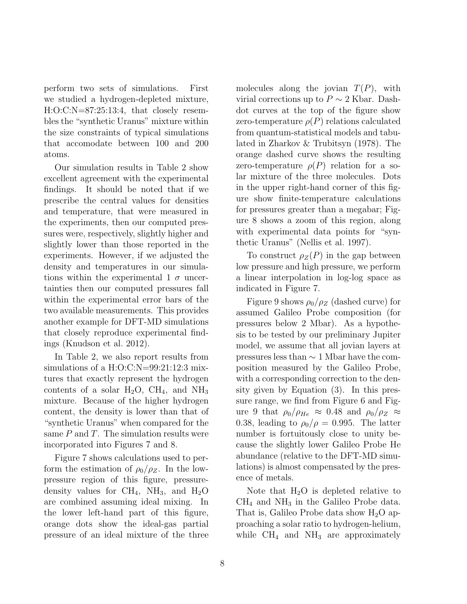perform two sets of simulations. First we studied a hydrogen-depleted mixture, H:O:C:N=87:25:13:4, that closely resembles the "synthetic Uranus" mixture within the size constraints of typical simulations that accomodate between 100 and 200 atoms.

Our simulation results in Table 2 show excellent agreement with the experimental findings. It should be noted that if we prescribe the central values for densities and temperature, that were measured in the experiments, then our computed pressures were, respectively, slightly higher and slightly lower than those reported in the experiments. However, if we adjusted the density and temperatures in our simulations within the experimental 1  $\sigma$  uncertainties then our computed pressures fall within the experimental error bars of the two available measurements. This provides another example for DFT-MD simulations that closely reproduce experimental findings (Knudson et al. 2012).

In Table 2, we also report results from simulations of a H:O:C:N=99:21:12:3 mixtures that exactly represent the hydrogen contents of a solar  $H_2O$ ,  $CH_4$ , and  $NH_3$ mixture. Because of the higher hydrogen content, the density is lower than that of "synthetic Uranus" when compared for the same  $P$  and  $T$ . The simulation results were incorporated into Figures 7 and 8.

Figure 7 shows calculations used to perform the estimation of  $\rho_0/\rho_Z$ . In the lowpressure region of this figure, pressuredensity values for  $CH_4$ ,  $NH_3$ , and  $H_2O$ are combined assuming ideal mixing. In the lower left-hand part of this figure, orange dots show the ideal-gas partial pressure of an ideal mixture of the three molecules along the jovian  $T(P)$ , with virial corrections up to  $P \sim 2$  Kbar. Dashdot curves at the top of the figure show zero-temperature  $\rho(P)$  relations calculated from quantum-statistical models and tabulated in Zharkov & Trubitsyn (1978). The orange dashed curve shows the resulting zero-temperature  $\rho(P)$  relation for a solar mixture of the three molecules. Dots in the upper right-hand corner of this figure show finite-temperature calculations for pressures greater than a megabar; Figure 8 shows a zoom of this region, along with experimental data points for "synthetic Uranus" (Nellis et al. 1997).

To construct  $\rho_Z(P)$  in the gap between low pressure and high pressure, we perform a linear interpolation in log-log space as indicated in Figure 7.

Figure 9 shows  $\rho_0/\rho_Z$  (dashed curve) for assumed Galileo Probe composition (for pressures below 2 Mbar). As a hypothesis to be tested by our preliminary Jupiter model, we assume that all jovian layers at pressures less than ∼ 1 Mbar have the composition measured by the Galileo Probe, with a corresponding correction to the density given by Equation (3). In this pressure range, we find from Figure 6 and Figure 9 that  $\rho_0/\rho_{He} \approx 0.48$  and  $\rho_0/\rho_Z \approx$ 0.38, leading to  $\rho_0/\rho = 0.995$ . The latter number is fortuitously close to unity because the slightly lower Galileo Probe He abundance (relative to the DFT-MD simulations) is almost compensated by the presence of metals.

Note that  $H_2O$  is depleted relative to  $CH<sub>4</sub>$  and  $NH<sub>3</sub>$  in the Galileo Probe data. That is, Galileo Probe data show  $H_2O$  approaching a solar ratio to hydrogen-helium, while  $CH_4$  and  $NH_3$  are approximately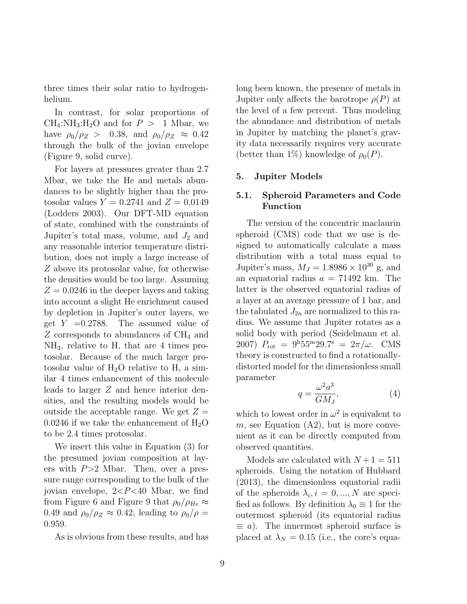three times their solar ratio to hydrogenhelium.

In contrast, for solar proportions of  $CH_4:NH_3:H_2O$  and for  $P > 1$  Mbar, we have  $\rho_0/\rho_Z > 0.38$ , and  $\rho_0/\rho_Z \approx 0.42$ through the bulk of the jovian envelope (Figure 9, solid curve).

For layers at pressures greater than 2.7 Mbar, we take the He and metals abundances to be slightly higher than the protosolar values  $Y = 0.2741$  and  $Z = 0.0149$ (Lodders 2003). Our DFT-MD equation of state, combined with the constraints of Jupiter's total mass, volume, and  $J_2$  and any reasonable interior temperature distribution, does not imply a large increase of Z above its protosolar value, for otherwise the densities would be too large. Assuming  $Z = 0.0246$  in the deeper layers and taking into account a slight He enrichment caused by depletion in Jupiter's outer layers, we get  $Y = 0.2788$ . The assumed value of  $Z$  corresponds to abundances of  $CH<sub>4</sub>$  and NH3, relative to H, that are 4 times protosolar. Because of the much larger protosolar value of  $H_2O$  relative to H, a similar 4 times enhancement of this molecule leads to larger Z and hence interior densities, and the resulting models would be outside the acceptable range. We get  $Z =$ 0.0246 if we take the enhancement of  $H_2O$ to be 2.4 times protosolar.

We insert this value in Equation (3) for the presumed jovian composition at layers with  $P > 2$  Mbar. Then, over a pressure range corresponding to the bulk of the jovian envelope,  $2 < P < 40$  Mbar, we find from Figure 6 and Figure 9 that  $\rho_0/\rho_{He} \approx$ 0.49 and  $\rho_0/\rho_Z \approx 0.42$ , leading to  $\rho_0/\rho =$ 0.959.

As is obvious from these results, and has

long been known, the presence of metals in Jupiter only affects the barotrope  $\rho(P)$  at the level of a few percent. Thus modeling the abundance and distribution of metals in Jupiter by matching the planet's gravity data necessarily requires very accurate (better than 1%) knowledge of  $\rho_0(P)$ .

#### 5. Jupiter Models

### 5.1. Spheroid Parameters and Code Function

The version of the concentric maclaurin spheroid (CMS) code that we use is designed to automatically calculate a mass distribution with a total mass equal to Jupiter's mass,  $M_J = 1.8986 \times 10^{30}$  g, and an equatorial radius  $a = 71492$  km. The latter is the observed equatorial radius of a layer at an average pressure of 1 bar, and the tabulated  $J_{2n}$  are normalized to this radius. We assume that Jupiter rotates as a solid body with period (Seidelmann et al. 2007)  $P_{\text{rot}} = 9^{\text{h}} 55^{\text{m}} 29.7^{\text{s}} = 2\pi/\omega$ . CMS theory is constructed to find a rotationallydistorted model for the dimensionless small parameter

$$
q = \frac{\omega^2 a^3}{GM_J},\tag{4}
$$

which to lowest order in  $\omega^2$  is equivalent to  $m$ , see Equation  $(A2)$ , but is more convenient as it can be directly computed from observed quantities.

Models are calculated with  $N+1 = 511$ spheroids. Using the notation of Hubbard (2013), the dimensionless equatorial radii of the spheroids  $\lambda_i, i = 0, ..., N$  are specified as follows. By definition  $\lambda_0 \equiv 1$  for the outermost spheroid (its equatorial radius  $\equiv a$ ). The innermost spheroid surface is placed at  $\lambda_N = 0.15$  (i.e., the core's equa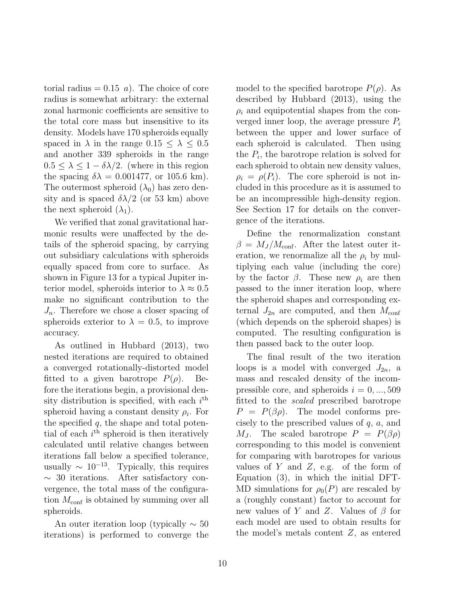torial radius  $= 0.15$  a). The choice of core radius is somewhat arbitrary: the external zonal harmonic coefficients are sensitive to the total core mass but insensitive to its density. Models have 170 spheroids equally spaced in  $\lambda$  in the range  $0.15 \leq \lambda \leq 0.5$ and another 339 spheroids in the range  $0.5 \leq \lambda \leq 1 - \delta \lambda / 2$ . (where in this region the spacing  $\delta \lambda = 0.001477$ , or 105.6 km). The outermost spheroid  $(\lambda_0)$  has zero density and is spaced  $\delta\lambda/2$  (or 53 km) above the next spheroid  $(\lambda_1)$ .

We verified that zonal gravitational harmonic results were unaffected by the details of the spheroid spacing, by carrying out subsidiary calculations with spheroids equally spaced from core to surface. As shown in Figure 13 for a typical Jupiter interior model, spheroids interior to  $\lambda \approx 0.5$ make no significant contribution to the  $J_n$ . Therefore we chose a closer spacing of spheroids exterior to  $\lambda = 0.5$ , to improve accuracy.

As outlined in Hubbard (2013), two nested iterations are required to obtained a converged rotationally-distorted model fitted to a given barotrope  $P(\rho)$ . Before the iterations begin, a provisional density distribution is specified, with each  $i<sup>th</sup>$ spheroid having a constant density  $\rho_i$ . For the specified  $q$ , the shape and total potential of each  $i<sup>th</sup>$  spheroid is then iteratively calculated until relative changes between iterations fall below a specified tolerance, usually  $\sim 10^{-13}$ . Typically, this requires ∼ 30 iterations. After satisfactory convergence, the total mass of the configuration  $M_{\text{conf}}$  is obtained by summing over all spheroids.

An outer iteration loop (typically  $\sim 50$ iterations) is performed to converge the model to the specified barotrope  $P(\rho)$ . As described by Hubbard (2013), using the  $\rho_i$  and equipotential shapes from the converged inner loop, the average pressure  $P_i$ between the upper and lower surface of each spheroid is calculated. Then using the  $P_i$ , the barotrope relation is solved for each spheroid to obtain new density values,  $\rho_i = \rho(P_i)$ . The core spheroid is not included in this procedure as it is assumed to be an incompressible high-density region. See Section 17 for details on the convergence of the iterations.

Define the renormalization constant  $\beta = M_J / M_{\text{conf}}$ . After the latest outer iteration, we renormalize all the  $\rho_i$  by multiplying each value (including the core) by the factor  $\beta$ . These new  $\rho_i$  are then passed to the inner iteration loop, where the spheroid shapes and corresponding external  $J_{2n}$  are computed, and then  $M_{\text{conf}}$ (which depends on the spheroid shapes) is computed. The resulting configuration is then passed back to the outer loop.

The final result of the two iteration loops is a model with converged  $J_{2n}$ , a mass and rescaled density of the incompressible core, and spheroids  $i = 0, ..., 509$ fitted to the *scaled* prescribed barotrope  $P = P(\beta \rho)$ . The model conforms precisely to the prescribed values of  $q$ ,  $a$ , and  $M_J$ . The scaled barotrope  $P = P(\beta \rho)$ corresponding to this model is convenient for comparing with barotropes for various values of Y and Z, e.g. of the form of Equation (3), in which the initial DFT-MD simulations for  $\rho_0(P)$  are rescaled by a (roughly constant) factor to account for new values of Y and Z. Values of  $\beta$  for each model are used to obtain results for the model's metals content Z, as entered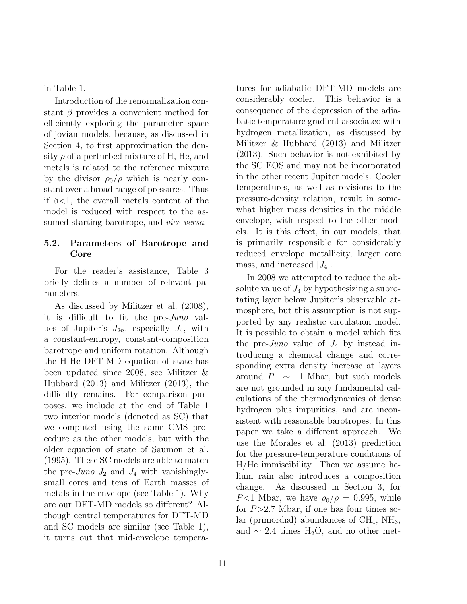in Table 1.

Introduction of the renormalization constant  $\beta$  provides a convenient method for efficiently exploring the parameter space of jovian models, because, as discussed in Section 4, to first approximation the density  $\rho$  of a perturbed mixture of H, He, and metals is related to the reference mixture by the divisor  $\rho_0/\rho$  which is nearly constant over a broad range of pressures. Thus if  $\beta$ <1, the overall metals content of the model is reduced with respect to the assumed starting barotrope, and *vice versa*.

## 5.2. Parameters of Barotrope and Core

For the reader's assistance, Table 3 briefly defines a number of relevant parameters.

As discussed by Militzer et al. (2008), it is difficult to fit the pre-Juno values of Jupiter's  $J_{2n}$ , especially  $J_4$ , with a constant-entropy, constant-composition barotrope and uniform rotation. Although the H-He DFT-MD equation of state has been updated since 2008, see Militzer & Hubbard (2013) and Militzer (2013), the difficulty remains. For comparison purposes, we include at the end of Table 1 two interior models (denoted as SC) that we computed using the same CMS procedure as the other models, but with the older equation of state of Saumon et al. (1995). These SC models are able to match the pre-Juno  $J_2$  and  $J_4$  with vanishinglysmall cores and tens of Earth masses of metals in the envelope (see Table 1). Why are our DFT-MD models so different? Although central temperatures for DFT-MD and SC models are similar (see Table 1), it turns out that mid-envelope temperatures for adiabatic DFT-MD models are considerably cooler. This behavior is a consequence of the depression of the adiabatic temperature gradient associated with hydrogen metallization, as discussed by Militzer & Hubbard (2013) and Militzer (2013). Such behavior is not exhibited by the SC EOS and may not be incorporated in the other recent Jupiter models. Cooler temperatures, as well as revisions to the pressure-density relation, result in somewhat higher mass densities in the middle envelope, with respect to the other models. It is this effect, in our models, that is primarily responsible for considerably reduced envelope metallicity, larger core mass, and increased  $|J_4|$ .

In 2008 we attempted to reduce the absolute value of  $J_4$  by hypothesizing a subrotating layer below Jupiter's observable atmosphere, but this assumption is not supported by any realistic circulation model. It is possible to obtain a model which fits the pre-*Juno* value of  $J_4$  by instead introducing a chemical change and corresponding extra density increase at layers around  $P \sim 1$  Mbar, but such models are not grounded in any fundamental calculations of the thermodynamics of dense hydrogen plus impurities, and are inconsistent with reasonable barotropes. In this paper we take a different approach. We use the Morales et al. (2013) prediction for the pressure-temperature conditions of H/He immiscibility. Then we assume helium rain also introduces a composition change. As discussed in Section 3, for  $P<1$  Mbar, we have  $\rho_0/\rho = 0.995$ , while for  $P > 2.7$  Mbar, if one has four times solar (primordial) abundances of  $CH_4$ , NH<sub>3</sub>, and  $\sim$  2.4 times H<sub>2</sub>O, and no other met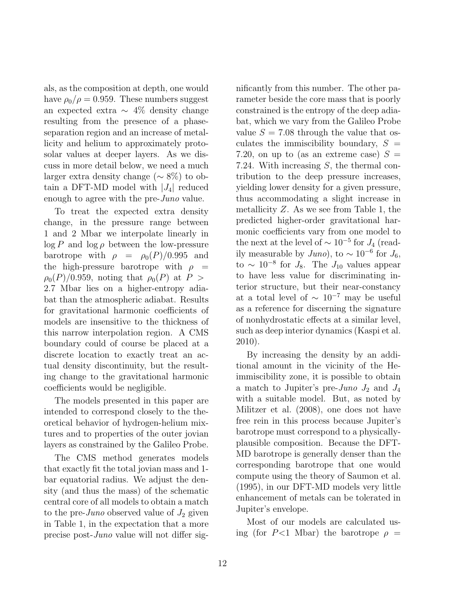als, as the composition at depth, one would have  $\rho_0/\rho = 0.959$ . These numbers suggest an expected extra ∼ 4% density change resulting from the presence of a phaseseparation region and an increase of metallicity and helium to approximately protosolar values at deeper layers. As we discuss in more detail below, we need a much larger extra density change (∼ 8%) to obtain a DFT-MD model with  $|J_4|$  reduced enough to agree with the pre-*Juno* value.

To treat the expected extra density change, in the pressure range between 1 and 2 Mbar we interpolate linearly in  $\log P$  and  $\log \rho$  between the low-pressure barotrope with  $\rho = \rho_0(P)/0.995$  and the high-pressure barotrope with  $\rho =$  $\rho_0(P)/0.959$ , noting that  $\rho_0(P)$  at  $P >$ 2.7 Mbar lies on a higher-entropy adiabat than the atmospheric adiabat. Results for gravitational harmonic coefficients of models are insensitive to the thickness of this narrow interpolation region. A CMS boundary could of course be placed at a discrete location to exactly treat an actual density discontinuity, but the resulting change to the gravitational harmonic coefficients would be negligible.

The models presented in this paper are intended to correspond closely to the theoretical behavior of hydrogen-helium mixtures and to properties of the outer jovian layers as constrained by the Galileo Probe.

The CMS method generates models that exactly fit the total jovian mass and 1 bar equatorial radius. We adjust the density (and thus the mass) of the schematic central core of all models to obtain a match to the pre-*Juno* observed value of  $J_2$  given in Table 1, in the expectation that a more precise post-Juno value will not differ significantly from this number. The other parameter beside the core mass that is poorly constrained is the entropy of the deep adiabat, which we vary from the Galileo Probe value  $S = 7.08$  through the value that osculates the immiscibility boundary,  $S =$ 7.20, on up to (as an extreme case)  $S =$ 7.24. With increasing S, the thermal contribution to the deep pressure increases, yielding lower density for a given pressure, thus accommodating a slight increase in metallicity  $Z$ . As we see from Table 1, the predicted higher-order gravitational harmonic coefficients vary from one model to the next at the level of  $\sim 10^{-5}$  for  $J_4$  (readily measurable by  $Juno$ , to  $\sim 10^{-6}$  for  $J_6$ , to  $\sim 10^{-8}$  for  $J_8$ . The  $J_{10}$  values appear to have less value for discriminating interior structure, but their near-constancy at a total level of  $\sim 10^{-7}$  may be useful as a reference for discerning the signature of nonhydrostatic effects at a similar level, such as deep interior dynamics (Kaspi et al. 2010).

By increasing the density by an additional amount in the vicinity of the Heimmiscibility zone, it is possible to obtain a match to Jupiter's pre-Juno  $J_2$  and  $J_4$ with a suitable model. But, as noted by Militzer et al. (2008), one does not have free rein in this process because Jupiter's barotrope must correspond to a physicallyplausible composition. Because the DFT-MD barotrope is generally denser than the corresponding barotrope that one would compute using the theory of Saumon et al. (1995), in our DFT-MD models very little enhancement of metals can be tolerated in Jupiter's envelope.

Most of our models are calculated using (for P<1 Mbar) the barotrope  $\rho =$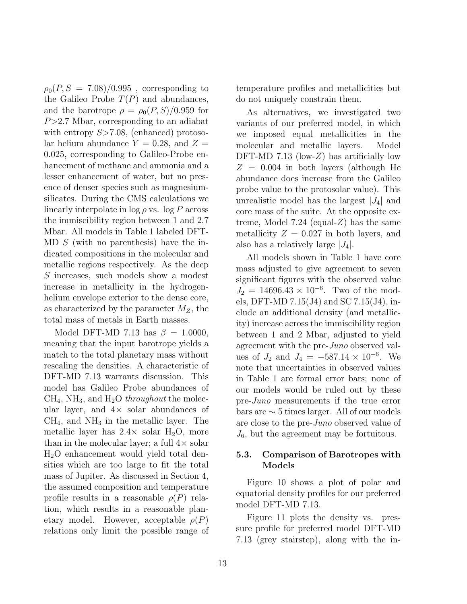$\rho_0(P, S = 7.08)/0.995$ , corresponding to the Galileo Probe  $T(P)$  and abundances, and the barotrope  $\rho = \rho_0(P, S)/0.959$  for  $P > 2.7$  Mbar, corresponding to an adiabat with entropy  $S > 7.08$ , (enhanced) protosolar helium abundance  $Y = 0.28$ , and  $Z =$ 0.025, corresponding to Galileo-Probe enhancement of methane and ammonia and a lesser enhancement of water, but no presence of denser species such as magnesiumsilicates. During the CMS calculations we linearly interpolate in  $\log \rho$  vs.  $\log P$  across the immiscibility region between 1 and 2.7 Mbar. All models in Table 1 labeled DFT-MD S (with no parenthesis) have the indicated compositions in the molecular and metallic regions respectively. As the deep S increases, such models show a modest increase in metallicity in the hydrogenhelium envelope exterior to the dense core, as characterized by the parameter  $M_Z$ , the total mass of metals in Earth masses.

Model DFT-MD 7.13 has  $\beta = 1.0000$ , meaning that the input barotrope yields a match to the total planetary mass without rescaling the densities. A characteristic of DFT-MD 7.13 warrants discussion. This model has Galileo Probe abundances of  $CH<sub>4</sub>$ , NH<sub>3</sub>, and H<sub>2</sub>O *throughout* the molecular layer, and  $4\times$  solar abundances of  $CH<sub>4</sub>$ , and  $NH<sub>3</sub>$  in the metallic layer. The metallic layer has  $2.4\times$  solar H<sub>2</sub>O, more than in the molecular layer; a full  $4\times$  solar H2O enhancement would yield total densities which are too large to fit the total mass of Jupiter. As discussed in Section 4, the assumed composition and temperature profile results in a reasonable  $\rho(P)$  relation, which results in a reasonable planetary model. However, acceptable  $\rho(P)$ relations only limit the possible range of temperature profiles and metallicities but do not uniquely constrain them.

As alternatives, we investigated two variants of our preferred model, in which we imposed equal metallicities in the molecular and metallic layers. Model DFT-MD 7.13 (low-Z) has artificially low  $Z = 0.004$  in both layers (although He abundance does increase from the Galileo probe value to the protosolar value). This unrealistic model has the largest  $|J_4|$  and core mass of the suite. At the opposite extreme, Model 7.24 (equal-Z) has the same metallicity  $Z = 0.027$  in both layers, and also has a relatively large  $|J_4|$ .

All models shown in Table 1 have core mass adjusted to give agreement to seven significant figures with the observed value  $J_2 = 14696.43 \times 10^{-6}$ . Two of the models, DFT-MD 7.15(J4) and SC 7.15(J4), include an additional density (and metallicity) increase across the immiscibility region between 1 and 2 Mbar, adjusted to yield agreement with the pre-Juno observed values of  $J_2$  and  $J_4 = -587.14 \times 10^{-6}$ . We note that uncertainties in observed values in Table 1 are formal error bars; none of our models would be ruled out by these pre-Juno measurements if the true error bars are ∼ 5 times larger. All of our models are close to the pre-Juno observed value of  $J_6$ , but the agreement may be fortuitous.

### 5.3. Comparison of Barotropes with Models

Figure 10 shows a plot of polar and equatorial density profiles for our preferred model DFT-MD 7.13.

Figure 11 plots the density vs. pressure profile for preferred model DFT-MD 7.13 (grey stairstep), along with the in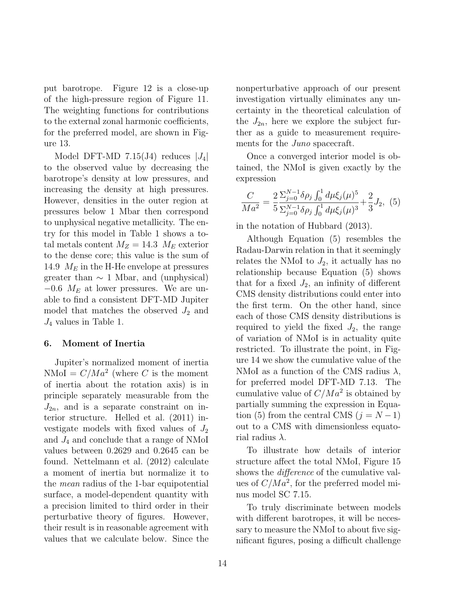put barotrope. Figure 12 is a close-up of the high-pressure region of Figure 11. The weighting functions for contributions to the external zonal harmonic coefficients, for the preferred model, are shown in Figure 13.

Model DFT-MD 7.15(J4) reduces  $|J_4|$ to the observed value by decreasing the barotrope's density at low pressures, and increasing the density at high pressures. However, densities in the outer region at pressures below 1 Mbar then correspond to unphysical negative metallicity. The entry for this model in Table 1 shows a total metals content  $M_Z = 14.3 M_E$  exterior to the dense core; this value is the sum of 14.9  $M_E$  in the H-He envelope at pressures greater than  $\sim 1$  Mbar, and (unphysical)  $-0.6$   $M_E$  at lower pressures. We are unable to find a consistent DFT-MD Jupiter model that matches the observed  $J_2$  and  $J_4$  values in Table 1.

#### 6. Moment of Inertia

Jupiter's normalized moment of inertia NMoI =  $C/Ma^2$  (where C is the moment of inertia about the rotation axis) is in principle separately measurable from the  $J_{2n}$ , and is a separate constraint on interior structure. Helled et al. (2011) investigate models with fixed values of  $J_2$ and J<sup>4</sup> and conclude that a range of NMoI values between 0.2629 and 0.2645 can be found. Nettelmann et al. (2012) calculate a moment of inertia but normalize it to the mean radius of the 1-bar equipotential surface, a model-dependent quantity with a precision limited to third order in their perturbative theory of figures. However, their result is in reasonable agreement with values that we calculate below. Since the nonperturbative approach of our present investigation virtually eliminates any uncertainty in the theoretical calculation of the  $J_{2n}$ , here we explore the subject further as a guide to measurement requirements for the *Juno* spacecraft.

Once a converged interior model is obtained, the NMoI is given exactly by the expression

$$
\frac{C}{Ma^2} = \frac{2}{5} \frac{\sum_{j=0}^{N-1} \delta \rho_j \int_0^1 d\mu \xi_j(\mu)^5}{\sum_{j=0}^{N-1} \delta \rho_j \int_0^1 d\mu \xi_j(\mu)^3} + \frac{2}{3} J_2, \tag{5}
$$

in the notation of Hubbard (2013).

Although Equation (5) resembles the Radau-Darwin relation in that it seemingly relates the NMoI to  $J_2$ , it actually has no relationship because Equation (5) shows that for a fixed  $J_2$ , an infinity of different CMS density distributions could enter into the first term. On the other hand, since each of those CMS density distributions is required to yield the fixed  $J_2$ , the range of variation of NMoI is in actuality quite restricted. To illustrate the point, in Figure 14 we show the cumulative value of the NMoI as a function of the CMS radius  $\lambda$ , for preferred model DFT-MD 7.13. The cumulative value of  $C/Ma^2$  is obtained by partially summing the expression in Equation (5) from the central CMS ( $j = N - 1$ ) out to a CMS with dimensionless equatorial radius  $\lambda$ .

To illustrate how details of interior structure affect the total NMoI, Figure 15 shows the *difference* of the cumulative values of  $C/Ma^2$ , for the preferred model minus model SC 7.15.

To truly discriminate between models with different barotropes, it will be necessary to measure the NMoI to about five significant figures, posing a difficult challenge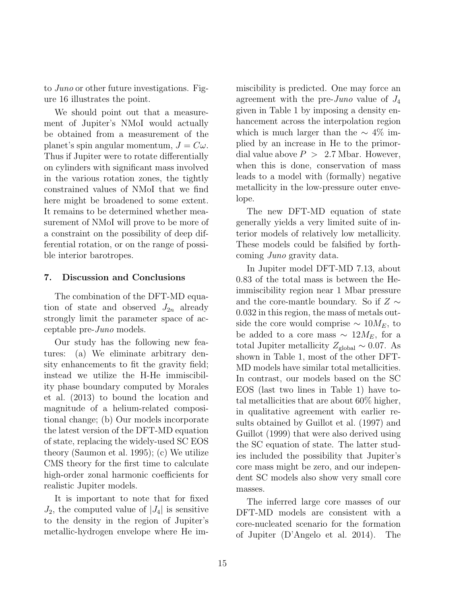to Juno or other future investigations. Figure 16 illustrates the point.

We should point out that a measurement of Jupiter's NMoI would actually be obtained from a measurement of the planet's spin angular momentum,  $J = C\omega$ . Thus if Jupiter were to rotate differentially on cylinders with significant mass involved in the various rotation zones, the tightly constrained values of NMoI that we find here might be broadened to some extent. It remains to be determined whether measurement of NMoI will prove to be more of a constraint on the possibility of deep differential rotation, or on the range of possible interior barotropes.

### 7. Discussion and Conclusions

The combination of the DFT-MD equation of state and observed  $J_{2n}$  already strongly limit the parameter space of acceptable pre-Juno models.

Our study has the following new features: (a) We eliminate arbitrary density enhancements to fit the gravity field; instead we utilize the H-He immiscibility phase boundary computed by Morales et al. (2013) to bound the location and magnitude of a helium-related compositional change; (b) Our models incorporate the latest version of the DFT-MD equation of state, replacing the widely-used SC EOS theory (Saumon et al. 1995); (c) We utilize CMS theory for the first time to calculate high-order zonal harmonic coefficients for realistic Jupiter models.

It is important to note that for fixed  $J_2$ , the computed value of  $|J_4|$  is sensitive to the density in the region of Jupiter's metallic-hydrogen envelope where He immiscibility is predicted. One may force an agreement with the pre-Juno value of  $J_4$ given in Table 1 by imposing a density enhancement across the interpolation region which is much larger than the  $\sim 4\%$  implied by an increase in He to the primordial value above  $P > 2.7$  Mbar. However, when this is done, conservation of mass leads to a model with (formally) negative metallicity in the low-pressure outer envelope.

The new DFT-MD equation of state generally yields a very limited suite of interior models of relatively low metallicity. These models could be falsified by forthcoming Juno gravity data.

In Jupiter model DFT-MD 7.13, about 0.83 of the total mass is between the Heimmiscibility region near 1 Mbar pressure and the core-mantle boundary. So if  $Z \sim$ 0.032 in this region, the mass of metals outside the core would comprise  $\sim 10M_E$ , to be added to a core mass  $\sim 12M_E$ , for a total Jupiter metallicity  $Z_{\text{global}} \sim 0.07$ . As shown in Table 1, most of the other DFT-MD models have similar total metallicities. In contrast, our models based on the SC EOS (last two lines in Table 1) have total metallicities that are about 60% higher, in qualitative agreement with earlier results obtained by Guillot et al. (1997) and Guillot (1999) that were also derived using the SC equation of state. The latter studies included the possibility that Jupiter's core mass might be zero, and our independent SC models also show very small core masses.

The inferred large core masses of our DFT-MD models are consistent with a core-nucleated scenario for the formation of Jupiter (D'Angelo et al. 2014). The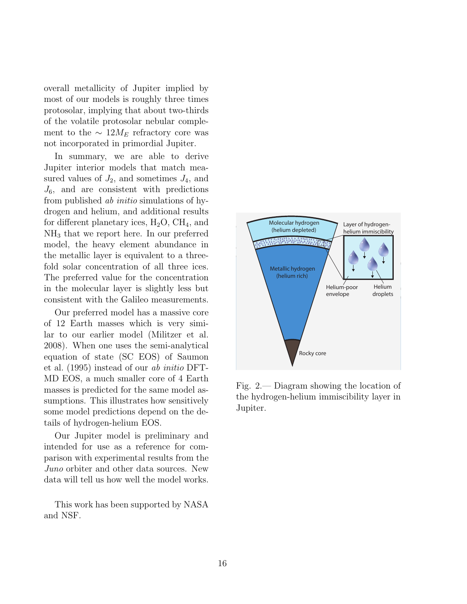overall metallicity of Jupiter implied by most of our models is roughly three times protosolar, implying that about two-thirds of the volatile protosolar nebular complement to the  $\sim 12M_E$  refractory core was not incorporated in primordial Jupiter.

In summary, we are able to derive Jupiter interior models that match measured values of  $J_2$ , and sometimes  $J_4$ , and  $J_6$ , and are consistent with predictions from published ab initio simulations of hydrogen and helium, and additional results for different planetary ices,  $H_2O$ ,  $CH_4$ , and NH<sup>3</sup> that we report here. In our preferred model, the heavy element abundance in the metallic layer is equivalent to a threefold solar concentration of all three ices. The preferred value for the concentration in the molecular layer is slightly less but consistent with the Galileo measurements.

Our preferred model has a massive core of 12 Earth masses which is very similar to our earlier model (Militzer et al. 2008). When one uses the semi-analytical equation of state (SC EOS) of Saumon et al. (1995) instead of our ab initio DFT-MD EOS, a much smaller core of 4 Earth masses is predicted for the same model assumptions. This illustrates how sensitively some model predictions depend on the details of hydrogen-helium EOS.

Our Jupiter model is preliminary and intended for use as a reference for comparison with experimental results from the Juno orbiter and other data sources. New data will tell us how well the model works.

This work has been supported by NASA and NSF.



Fig. 2.— Diagram showing the location of the hydrogen-helium immiscibility layer in Jupiter.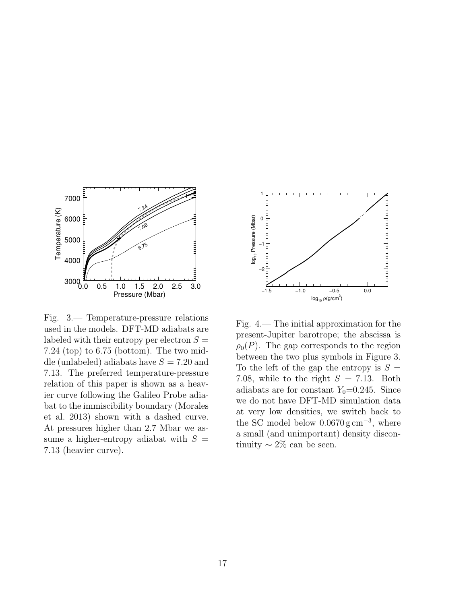

Fig. 3.— Temperature-pressure relations used in the models. DFT-MD adiabats are labeled with their entropy per electron  $S =$ 7.24 (top) to 6.75 (bottom). The two middle (unlabeled) adiabats have  $S = 7.20$  and 7.13. The preferred temperature-pressure relation of this paper is shown as a heavier curve following the Galileo Probe adiabat to the immiscibility boundary (Morales et al. 2013) shown with a dashed curve. At pressures higher than 2.7 Mbar we assume a higher-entropy adiabat with  $S =$ 7.13 (heavier curve).



Fig. 4.— The initial approximation for the present-Jupiter barotrope; the abscissa is  $\rho_0(P)$ . The gap corresponds to the region between the two plus symbols in Figure 3. To the left of the gap the entropy is  $S =$ 7.08, while to the right  $S = 7.13$ . Both adiabats are for constant  $Y_0=0.245$ . Since we do not have DFT-MD simulation data at very low densities, we switch back to the SC model below  $0.0670 \text{ g cm}^{-3}$ , where a small (and unimportant) density discontinuity  $\sim 2\%$  can be seen.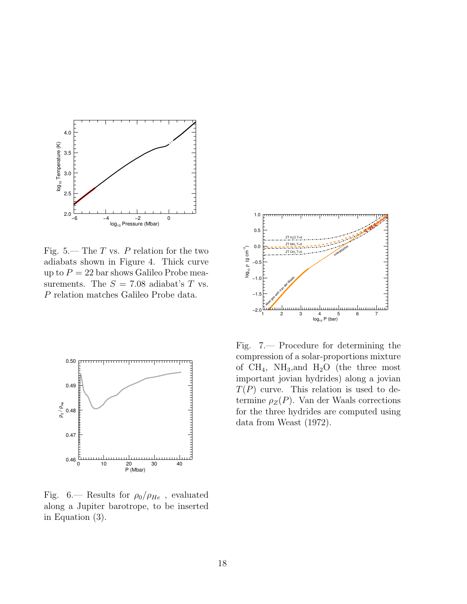

Fig. 5.— The  $T$  vs.  $P$  relation for the two adiabats shown in Figure 4. Thick curve up to  $P = 22$  bar shows Galileo Probe measurements. The  $S = 7.08$  adiabat's T vs. P relation matches Galileo Probe data.



Fig. 6.— Results for  $\rho_0/\rho_{He}$ , evaluated along a Jupiter barotrope, to be inserted in Equation (3).



Fig. 7.— Procedure for determining the compression of a solar-proportions mixture of  $CH_4$ , NH<sub>3</sub>, and H<sub>2</sub>O (the three most important jovian hydrides) along a jovian  $T(P)$  curve. This relation is used to determine  $\rho_Z(P)$ . Van der Waals corrections for the three hydrides are computed using data from Weast (1972).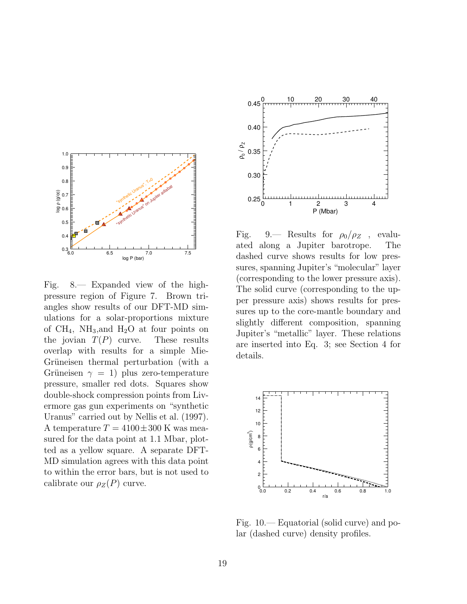

Fig. 8.— Expanded view of the highpressure region of Figure 7. Brown triangles show results of our DFT-MD simulations for a solar-proportions mixture of  $CH_4$ , NH<sub>3</sub>, and H<sub>2</sub>O at four points on the jovian  $T(P)$  curve. These results overlap with results for a simple Mie-Grüneisen thermal perturbation (with a Grüneisen  $\gamma = 1$ ) plus zero-temperature pressure, smaller red dots. Squares show double-shock compression points from Livermore gas gun experiments on "synthetic Uranus" carried out by Nellis et al. (1997). A temperature  $T = 4100 \pm 300$  K was measured for the data point at 1.1 Mbar, plotted as a yellow square. A separate DFT-MD simulation agrees with this data point to within the error bars, but is not used to calibrate our  $\rho_Z(P)$  curve.



Fig. 9.— Results for  $\rho_0/\rho_Z$ , evaluated along a Jupiter barotrope. The dashed curve shows results for low pressures, spanning Jupiter's "molecular" layer (corresponding to the lower pressure axis). The solid curve (corresponding to the upper pressure axis) shows results for pressures up to the core-mantle boundary and slightly different composition, spanning Jupiter's "metallic" layer. These relations are inserted into Eq. 3; see Section 4 for details.



Fig. 10.— Equatorial (solid curve) and polar (dashed curve) density profiles.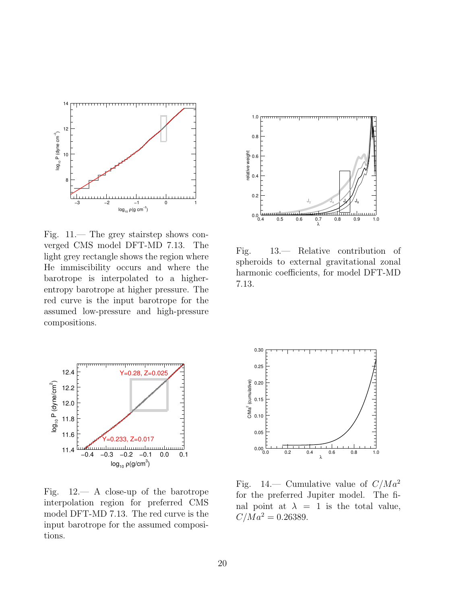

Fig. 11.— The grey stairstep shows converged CMS model DFT-MD 7.13. The light grey rectangle shows the region where He immiscibility occurs and where the barotrope is interpolated to a higherentropy barotrope at higher pressure. The red curve is the input barotrope for the assumed low-pressure and high-pressure compositions.



Fig. 13.— Relative contribution of spheroids to external gravitational zonal harmonic coefficients, for model DFT-MD 7.13.



Fig. 12.— A close-up of the barotrope interpolation region for preferred CMS model DFT-MD 7.13. The red curve is the input barotrope for the assumed compositions.



Fig. 14.— Cumulative value of  $C/Ma^2$ for the preferred Jupiter model. The final point at  $\lambda = 1$  is the total value,  $C/M a^2 = 0.26389.$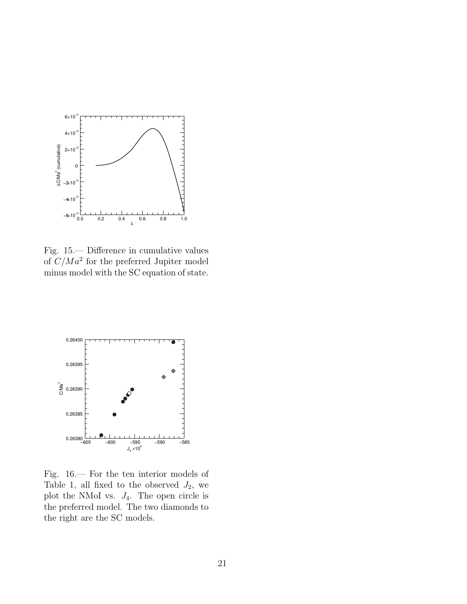

Fig. 15.— Difference in cumulative values of  $C/M a^2$  for the preferred Jupiter model minus model with the SC equation of state.



Fig. 16.— For the ten interior models of Table 1, all fixed to the observed  $J_2$ , we plot the NMoI vs.  $J_4$ . The open circle is the preferred model. The two diamonds to the right are the SC models.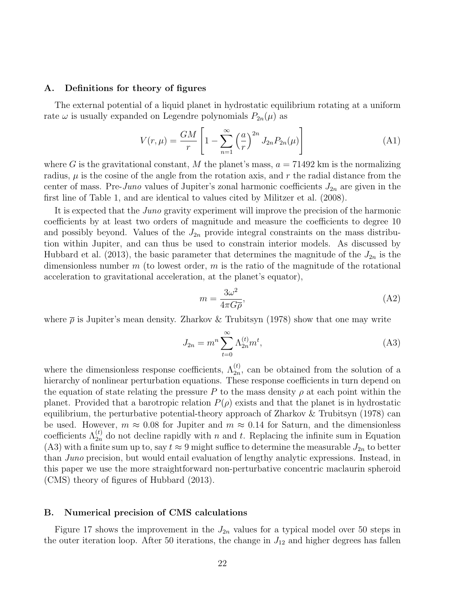#### A. Definitions for theory of figures

The external potential of a liquid planet in hydrostatic equilibrium rotating at a uniform rate  $\omega$  is usually expanded on Legendre polynomials  $P_{2n}(\mu)$  as

$$
V(r,\mu) = \frac{GM}{r} \left[ 1 - \sum_{n=1}^{\infty} \left( \frac{a}{r} \right)^{2n} J_{2n} P_{2n}(\mu) \right]
$$
 (A1)

where G is the gravitational constant, M the planet's mass,  $a = 71492$  km is the normalizing radius,  $\mu$  is the cosine of the angle from the rotation axis, and r the radial distance from the center of mass. Pre-Juno values of Jupiter's zonal harmonic coefficients  $J_{2n}$  are given in the first line of Table 1, and are identical to values cited by Militzer et al. (2008).

It is expected that the Juno gravity experiment will improve the precision of the harmonic coefficients by at least two orders of magnitude and measure the coefficients to degree 10 and possibly beyond. Values of the  $J_{2n}$  provide integral constraints on the mass distribution within Jupiter, and can thus be used to constrain interior models. As discussed by Hubbard et al. (2013), the basic parameter that determines the magnitude of the  $J_{2n}$  is the dimensionless number  $m$  (to lowest order,  $m$  is the ratio of the magnitude of the rotational acceleration to gravitational acceleration, at the planet's equator),

$$
m = \frac{3\omega^2}{4\pi G \overline{\rho}},\tag{A2}
$$

where  $\bar{\rho}$  is Jupiter's mean density. Zharkov & Trubitsyn (1978) show that one may write

$$
J_{2n} = m^n \sum_{t=0}^{\infty} \Lambda_{2n}^{(t)} m^t,
$$
 (A3)

where the dimensionless response coefficients,  $\Lambda_{2n}^{(t)}$ , can be obtained from the solution of a hierarchy of nonlinear perturbation equations. These response coefficients in turn depend on the equation of state relating the pressure P to the mass density  $\rho$  at each point within the planet. Provided that a barotropic relation  $P(\rho)$  exists and that the planet is in hydrostatic equilibrium, the perturbative potential-theory approach of Zharkov & Trubitsyn (1978) can be used. However,  $m \approx 0.08$  for Jupiter and  $m \approx 0.14$  for Saturn, and the dimensionless coefficients  $\Lambda_{2n}^{(t)}$  do not decline rapidly with n and t. Replacing the infinite sum in Equation (A3) with a finite sum up to, say  $t \approx 9$  might suffice to determine the measurable  $J_{2n}$  to better than Juno precision, but would entail evaluation of lengthy analytic expressions. Instead, in this paper we use the more straightforward non-perturbative concentric maclaurin spheroid (CMS) theory of figures of Hubbard (2013).

#### B. Numerical precision of CMS calculations

Figure 17 shows the improvement in the  $J_{2n}$  values for a typical model over 50 steps in the outer iteration loop. After 50 iterations, the change in  $J_{12}$  and higher degrees has fallen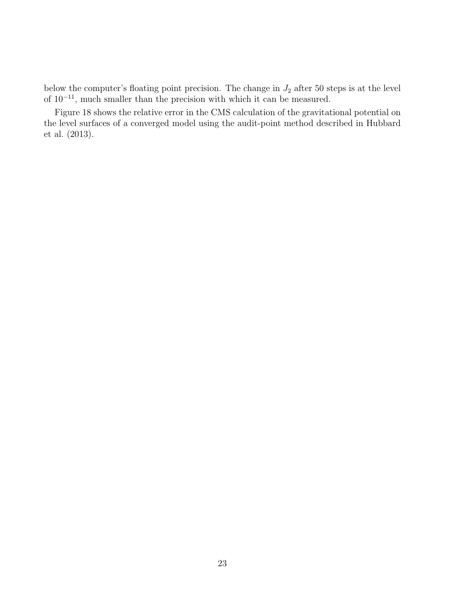below the computer's floating point precision. The change in  $J_2$  after 50 steps is at the level of  $10^{-11}$ , much smaller than the precision with which it can be measured.

Figure 18 shows the relative error in the CMS calculation of the gravitational potential on the level surfaces of a converged model using the audit-point method described in Hubbard et al. (2013).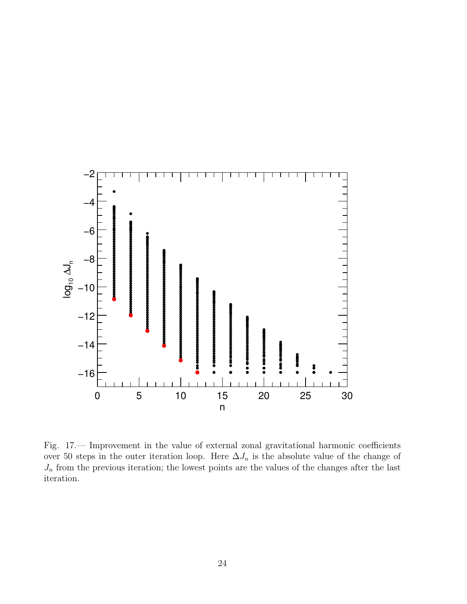

Fig. 17.— Improvement in the value of external zonal gravitational harmonic coefficients over 50 steps in the outer iteration loop. Here  $\Delta J_n$  is the absolute value of the change of  $J_n$  from the previous iteration; the lowest points are the values of the changes after the last iteration.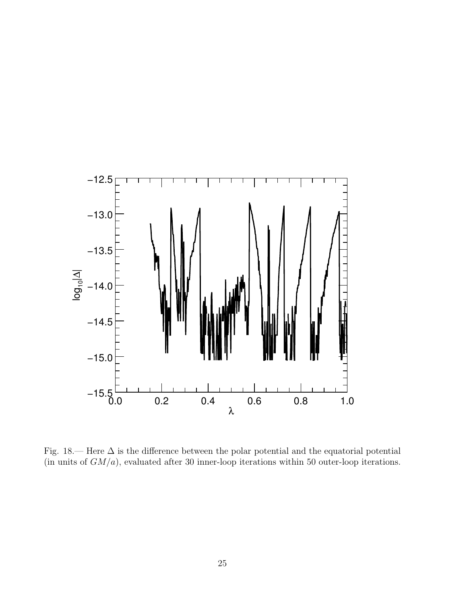

Fig. 18.— Here  $\Delta$  is the difference between the polar potential and the equatorial potential (in units of  $GM/a$ ), evaluated after 30 inner-loop iterations within 50 outer-loop iterations.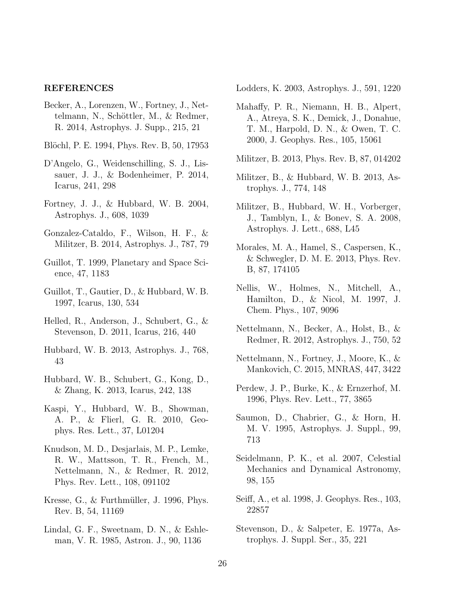### REFERENCES

- Becker, A., Lorenzen, W., Fortney, J., Nettelmann, N., Schöttler, M., & Redmer, R. 2014, Astrophys. J. Supp., 215, 21
- Blöchl, P. E. 1994, Phys. Rev. B, 50, 17953
- D'Angelo, G., Weidenschilling, S. J., Lissauer, J. J., & Bodenheimer, P. 2014, Icarus, 241, 298
- Fortney, J. J., & Hubbard, W. B. 2004, Astrophys. J., 608, 1039
- Gonzalez-Cataldo, F., Wilson, H. F., & Militzer, B. 2014, Astrophys. J., 787, 79
- Guillot, T. 1999, Planetary and Space Science, 47, 1183
- Guillot, T., Gautier, D., & Hubbard, W. B. 1997, Icarus, 130, 534
- Helled, R., Anderson, J., Schubert, G., & Stevenson, D. 2011, Icarus, 216, 440
- Hubbard, W. B. 2013, Astrophys. J., 768, 43
- Hubbard, W. B., Schubert, G., Kong, D., & Zhang, K. 2013, Icarus, 242, 138
- Kaspi, Y., Hubbard, W. B., Showman, A. P., & Flierl, G. R. 2010, Geophys. Res. Lett., 37, L01204
- Knudson, M. D., Desjarlais, M. P., Lemke, R. W., Mattsson, T. R., French, M., Nettelmann, N., & Redmer, R. 2012, Phys. Rev. Lett., 108, 091102
- Kresse, G.,  $\&$  Furthmüller, J. 1996, Phys. Rev. B, 54, 11169
- Lindal, G. F., Sweetnam, D. N., & Eshleman, V. R. 1985, Astron. J., 90, 1136

Lodders, K. 2003, Astrophys. J., 591, 1220

- Mahaffy, P. R., Niemann, H. B., Alpert, A., Atreya, S. K., Demick, J., Donahue, T. M., Harpold, D. N., & Owen, T. C. 2000, J. Geophys. Res., 105, 15061
- Militzer, B. 2013, Phys. Rev. B, 87, 014202
- Militzer, B., & Hubbard, W. B. 2013, Astrophys. J., 774, 148
- Militzer, B., Hubbard, W. H., Vorberger, J., Tamblyn, I., & Bonev, S. A. 2008, Astrophys. J. Lett., 688, L45
- Morales, M. A., Hamel, S., Caspersen, K., & Schwegler, D. M. E. 2013, Phys. Rev. B, 87, 174105
- Nellis, W., Holmes, N., Mitchell, A., Hamilton, D., & Nicol, M. 1997, J. Chem. Phys., 107, 9096
- Nettelmann, N., Becker, A., Holst, B., & Redmer, R. 2012, Astrophys. J., 750, 52
- Nettelmann, N., Fortney, J., Moore, K., & Mankovich, C. 2015, MNRAS, 447, 3422
- Perdew, J. P., Burke, K., & Ernzerhof, M. 1996, Phys. Rev. Lett., 77, 3865
- Saumon, D., Chabrier, G., & Horn, H. M. V. 1995, Astrophys. J. Suppl., 99, 713
- Seidelmann, P. K., et al. 2007, Celestial Mechanics and Dynamical Astronomy, 98, 155
- Seiff, A., et al. 1998, J. Geophys. Res., 103, 22857
- Stevenson, D., & Salpeter, E. 1977a, Astrophys. J. Suppl. Ser., 35, 221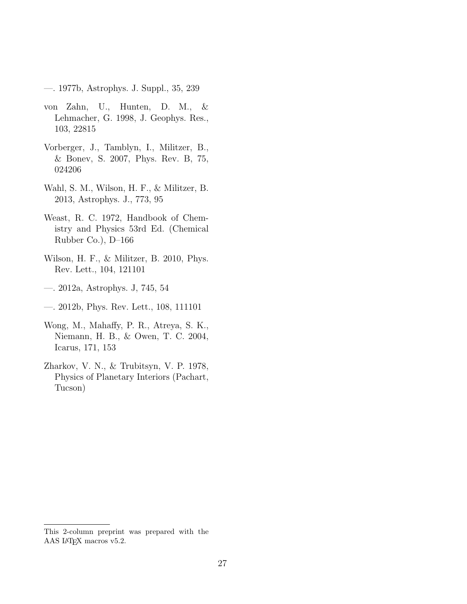—. 1977b, Astrophys. J. Suppl., 35, 239

- von Zahn, U., Hunten, D. M., & Lehmacher, G. 1998, J. Geophys. Res., 103, 22815
- Vorberger, J., Tamblyn, I., Militzer, B., & Bonev, S. 2007, Phys. Rev. B, 75, 024206
- Wahl, S. M., Wilson, H. F., & Militzer, B. 2013, Astrophys. J., 773, 95
- Weast, R. C. 1972, Handbook of Chemistry and Physics 53rd Ed. (Chemical Rubber Co.), D–166
- Wilson, H. F., & Militzer, B. 2010, Phys. Rev. Lett., 104, 121101
- —. 2012a, Astrophys. J, 745, 54
- —. 2012b, Phys. Rev. Lett., 108, 111101
- Wong, M., Mahaffy, P. R., Atreya, S. K., Niemann, H. B., & Owen, T. C. 2004, Icarus, 171, 153
- Zharkov, V. N., & Trubitsyn, V. P. 1978, Physics of Planetary Interiors (Pachart, Tucson)

This 2-column preprint was prepared with the AAS IATEX macros v5.2.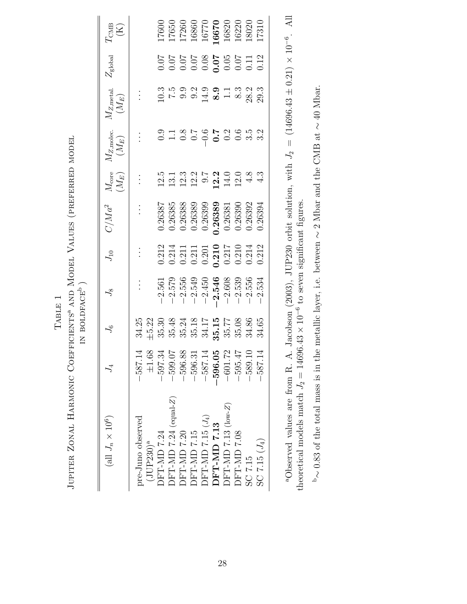| ו<br>ו<br>ג<br>ークへ                                                          |                      |
|-----------------------------------------------------------------------------|----------------------|
| THANTH ANTI<br>$\frac{1}{2}$<br>I AFFALLACE A SUEFACE<br>$\frac{1}{2}$<br>Ò | ーーー<br>$\frac{1}{2}$ |
| $\overline{1}$<br><br>$\overline{a}$<br>The order to the                    |                      |

 $\rm TAEE$  1

| (all $J_n\times 10^6)$            |                         | $J_6$ | $\zeta$                                                                                                  | $J_{\rm 10}$                                                                                                                                                                                                                                                                                        | $C/Ma^2$                                                                                                                                                                      | $M_{\rm core}$ $(M_E)$ | $M_{Z,\rm{molec.}}$ $(M_E)$ | $M_{Z, \rm metal.} \ (M_E)$                                                                                                                                                                        | $Z_{\rm global}$ | $I_{\rm CMB}^{\rm CMB}$                                                                                                                    |
|-----------------------------------|-------------------------|-------|----------------------------------------------------------------------------------------------------------|-----------------------------------------------------------------------------------------------------------------------------------------------------------------------------------------------------------------------------------------------------------------------------------------------------|-------------------------------------------------------------------------------------------------------------------------------------------------------------------------------|------------------------|-----------------------------|----------------------------------------------------------------------------------------------------------------------------------------------------------------------------------------------------|------------------|--------------------------------------------------------------------------------------------------------------------------------------------|
| pre-Juno observed<br>$(JUP230)^a$ | $-587.14$<br>$\pm 1.68$ |       |                                                                                                          | $\frac{1}{2}$                                                                                                                                                                                                                                                                                       |                                                                                                                                                                               | $\vdots$               |                             |                                                                                                                                                                                                    |                  |                                                                                                                                            |
| DFT-MD 7.24                       | 597.34                  |       |                                                                                                          |                                                                                                                                                                                                                                                                                                     |                                                                                                                                                                               |                        |                             |                                                                                                                                                                                                    |                  |                                                                                                                                            |
| $DFT$ -MD 7.24 (equal-Z)          | 599.07                  |       | $-2.561$<br>$-2.579$<br>$-2.549$<br>$-2.540$<br>$-2.546$<br>$-2.546$<br>$-2.546$<br>$-2.539$<br>$-2.556$ | $\begin{array}{l} 0.212 \\ 0.211 \\ 0.211 \\ 0.211 \\ 0.201 \\ 0.210 \\ 0.211 \\ 0.211 \\ 0.212 \\ 0.212 \\ 0.212 \\ 0.212 \\ 0.212 \\ 0.212 \\ 0.212 \\ 0.213 \\ 0.213 \\ 0.213 \\ 0.213 \\ 0.213 \\ 0.213 \\ 0.213 \\ 0.213 \\ 0.214 \\ 0.214 \\ 0.213 \\ 0.214 \\ 0.215 \\ 0.214 \\ 0.215 \\ 0.$ | $\begin{array}{l} 0.26387 \\ 0.26385 \\ 0.26388 \\ 0.26389 \\ 0.26389 \\ 0.26389 \\ 0.26389 \\ 0.26389 \\ 0.26381 \\ 0.26392 \\ 0.26392 \\ 0.26392 \\ 0.26394 \\ \end{array}$ | 121327200083           |                             | $0.5$<br>$0.5$<br>$0.5$<br>$0.5$<br>$0.5$<br>$0.5$<br>$0.5$<br>$0.5$<br>$0.5$<br>$0.5$<br>$0.5$<br>$0.5$<br>$0.5$<br>$0.5$<br>$0.5$<br>$0.5$<br>$0.5$<br>$0.5$<br>$0.5$<br>$0.5$<br>$0.5$<br>$0.5$ |                  | $\begin{array}{l} 17600 \\ 17650 \\ 17260 \\ 16860 \\ 16670 \\ 16670 \\ 16670 \\ 16820 \\ 16820 \\ 16820 \\ 16820 \\ 17310 \\ \end{array}$ |
| <b>DFT-MD7.20</b>                 | 596.88                  |       |                                                                                                          |                                                                                                                                                                                                                                                                                                     |                                                                                                                                                                               |                        |                             |                                                                                                                                                                                                    |                  |                                                                                                                                            |
| <b>DFT-MD 7.15</b>                | 596.31                  |       |                                                                                                          |                                                                                                                                                                                                                                                                                                     |                                                                                                                                                                               |                        |                             |                                                                                                                                                                                                    |                  |                                                                                                                                            |
| DFT-MD 7.15 $(J_4)$               | $-587.14$               |       |                                                                                                          |                                                                                                                                                                                                                                                                                                     |                                                                                                                                                                               |                        |                             |                                                                                                                                                                                                    |                  |                                                                                                                                            |
| DFT-MD 7.13                       | 596.05                  |       |                                                                                                          |                                                                                                                                                                                                                                                                                                     |                                                                                                                                                                               |                        |                             |                                                                                                                                                                                                    |                  |                                                                                                                                            |
| $DFT$ -MD 7.13 (low-Z)            | $-601.72$               |       |                                                                                                          |                                                                                                                                                                                                                                                                                                     |                                                                                                                                                                               |                        |                             |                                                                                                                                                                                                    |                  |                                                                                                                                            |
| DFT-MD 7.08                       | 595.47                  |       |                                                                                                          |                                                                                                                                                                                                                                                                                                     |                                                                                                                                                                               |                        |                             |                                                                                                                                                                                                    |                  |                                                                                                                                            |
| SC 7.15                           | 589.10                  |       |                                                                                                          |                                                                                                                                                                                                                                                                                                     |                                                                                                                                                                               |                        |                             |                                                                                                                                                                                                    |                  |                                                                                                                                            |
| $SC 7.15 (J_4)$                   | 587.14                  |       |                                                                                                          |                                                                                                                                                                                                                                                                                                     |                                                                                                                                                                               |                        |                             |                                                                                                                                                                                                    |                  |                                                                                                                                            |
|                                   |                         |       |                                                                                                          |                                                                                                                                                                                                                                                                                                     |                                                                                                                                                                               |                        |                             |                                                                                                                                                                                                    |                  |                                                                                                                                            |

<sup>a</sup>Observed values are from R. A. Jacobson (2003), JUP230 orbit solution, with  $J_2 = (14696.43 \pm 0.21) \times 10^{-6}$ . All theoretical models match  $J_2 = 14696.43 \times 10^{-6}$  to seven significant figures. aObserved values are from R. A. Jacobson (2003), JUP230 orbit solution, with  $J_2 = (14696.43 \pm 0.21) \times 10^{-6}$ . All<br> theoretical models match  $J_2 = 14696.43 \times 10^{-6}$  to seven significant figures.

 $\sim$  0.83 of the total mass is in the metallic layer, i.e. between  $\sim$  2 Mbar and the CMB at  $\sim$  40 Mbar.  $\mathbb{P}_{\sim}$  0.83 of the total mass is in the metallic layer, i.e. between  $\sim$  2 Mbar and the CMB at  $\sim$  40 Mbar.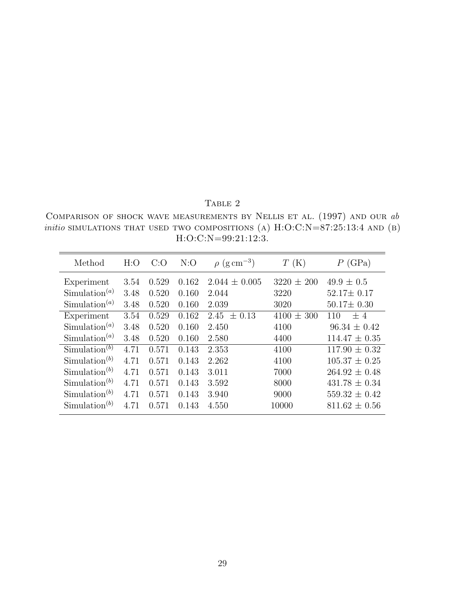## TABLE 2

COMPARISON OF SHOCK WAVE MEASUREMENTS BY NELLIS ET AL.  $(1997)$  and our  $ab$ *initio* SIMULATIONS THAT USED TWO COMPOSITIONS (A)  $H:O:C:N=87:25:13:4$  AND (B)  $H:O:C:N=99:21:12:3.$ 

| Method                                 | H:O  | C:O   | N:O   | $\rho$ (g cm <sup>-3</sup> ) | T(K)           | (GPa)<br>Р        |
|----------------------------------------|------|-------|-------|------------------------------|----------------|-------------------|
| Experiment                             | 3.54 | 0.529 | 0.162 | $2.044 \pm 0.005$            | $3220 \pm 200$ | $49.9 \pm 0.5$    |
| Simulation <sup>(a)</sup>              | 3.48 | 0.520 | 0.160 | 2.044                        | 3220           | $52.17 \pm 0.17$  |
| Simulation <sup><math>(a)</math></sup> | 3.48 | 0.520 | 0.160 | 2.039                        | 3020           | $50.17 \pm 0.30$  |
| Experiment                             | 3.54 | 0.529 | 0.162 | 2.45<br>$\pm$ 0.13           | $4100 \pm 300$ | ±4<br>110         |
| Simulation <sup><math>(a)</math></sup> | 3.48 | 0.520 | 0.160 | 2.450                        | 4100           | $96.34 \pm 0.42$  |
| Simulation <sup>(a)</sup>              | 3.48 | 0.520 | 0.160 | 2.580                        | 4400           | $114.47 \pm 0.35$ |
| Simulation <sup>(b)</sup>              | 4.71 | 0.571 | 0.143 | 2.353                        | 4100           | $117.90 \pm 0.32$ |
| $Simulation^{(b)}$                     | 4.71 | 0.571 | 0.143 | 2.262                        | 4100           | $105.37 \pm 0.25$ |
| $Simulation^{(b)}$                     | 4.71 | 0.571 | 0.143 | 3.011                        | 7000           | $264.92 \pm 0.48$ |
| Simulation <sup>(b)</sup>              | 4.71 | 0.571 | 0.143 | 3.592                        | 8000           | $431.78 \pm 0.34$ |
| Simulation <sup>(b)</sup>              | 4.71 | 0.571 | 0.143 | 3.940                        | 9000           | $559.32 \pm 0.42$ |
| $Simulation^{(b)}$                     | 4.71 | 0.571 | 0.143 | 4.550                        | 10000          | $811.62 \pm 0.56$ |